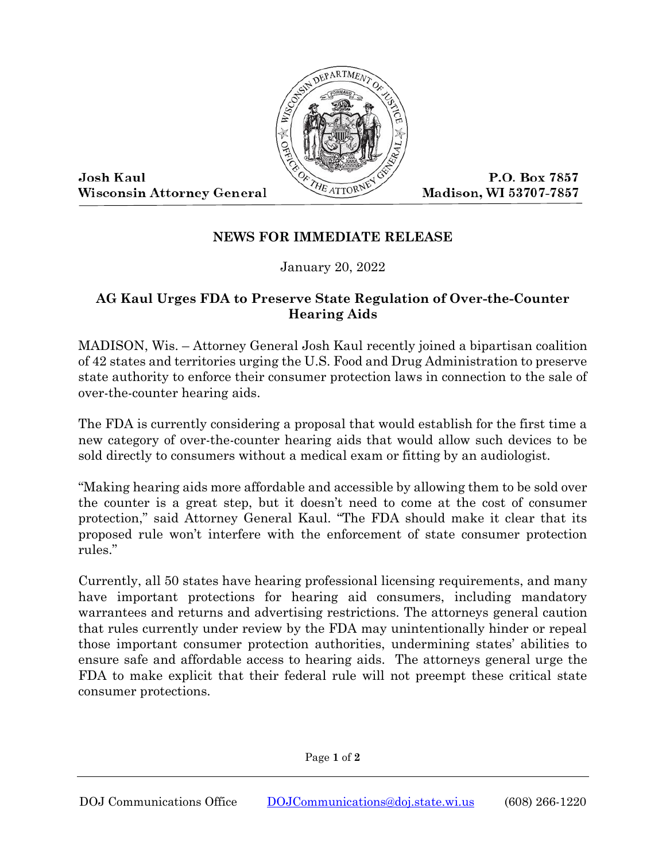

**Josh Kaul Wisconsin Attorney General** 

P.O. Box 7857 Madison, WI 53707-7857

## **NEWS FOR IMMEDIATE RELEASE**

January 20, 2022

## **AG Kaul Urges FDA to Preserve State Regulation of Over-the-Counter Hearing Aids**

MADISON, Wis. – Attorney General Josh Kaul recently joined a bipartisan coalition of 42 states and territories urging the U.S. Food and Drug Administration to preserve state authority to enforce their consumer protection laws in connection to the sale of over-the-counter hearing aids.

The FDA is currently considering a proposal that would establish for the first time a new category of over-the-counter hearing aids that would allow such devices to be sold directly to consumers without a medical exam or fitting by an audiologist.

"Making hearing aids more affordable and accessible by allowing them to be sold over the counter is a great step, but it doesn't need to come at the cost of consumer protection," said Attorney General Kaul. "The FDA should make it clear that its proposed rule won't interfere with the enforcement of state consumer protection rules."

Currently, all 50 states have hearing professional licensing requirements, and many have important protections for hearing aid consumers, including mandatory warrantees and returns and advertising restrictions. The attorneys general caution that rules currently under review by the FDA may unintentionally hinder or repeal those important consumer protection authorities, undermining states' abilities to ensure safe and affordable access to hearing aids. The attorneys general urge the FDA to make explicit that their federal rule will not preempt these critical state consumer protections.

Page **1** of **2**